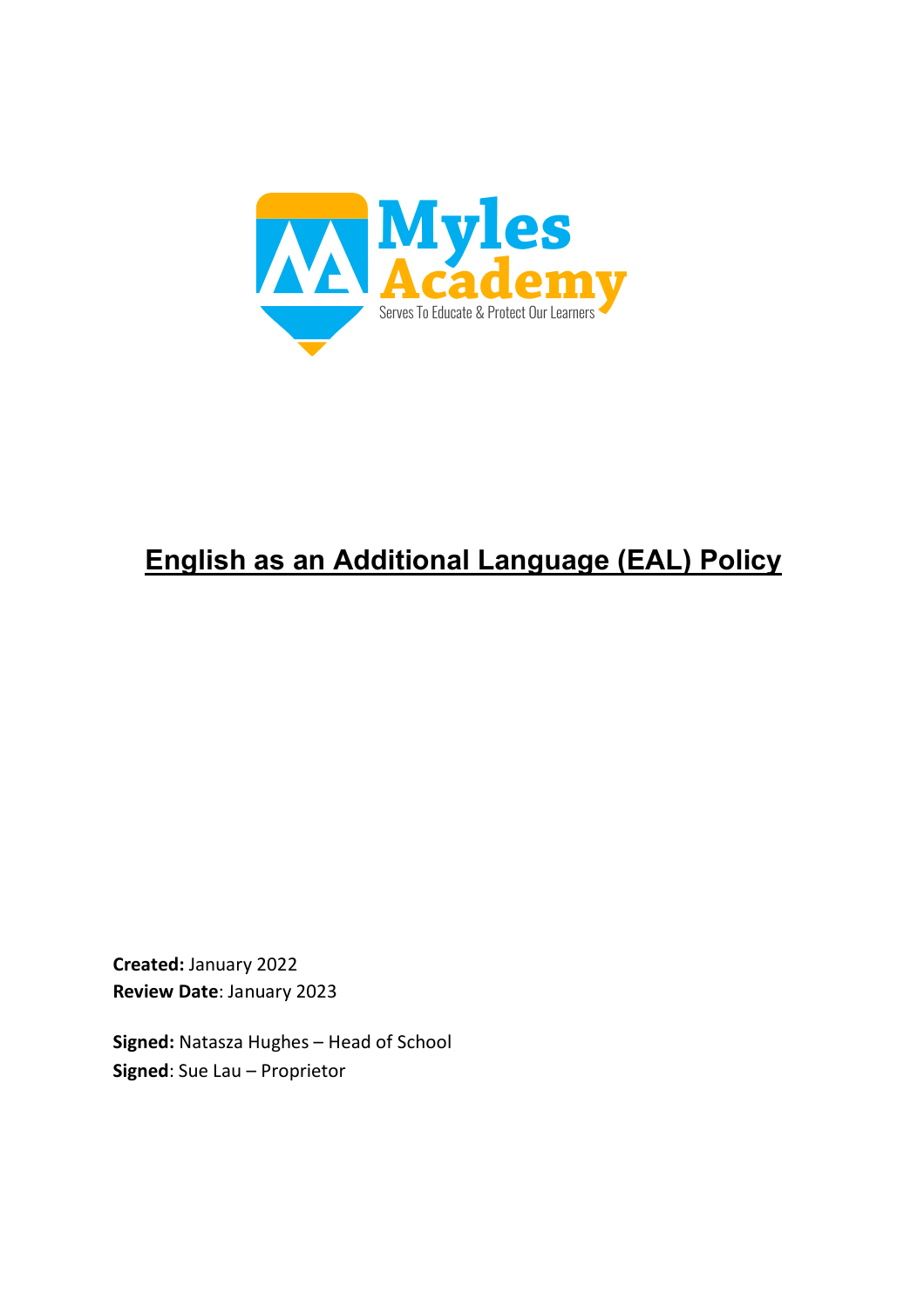

# **English as an Additional Language (EAL) Policy**

**Created:** January 2022 **Review Date**: January 2023

**Signed:** Natasza Hughes – Head of School **Signed**: Sue Lau – Proprietor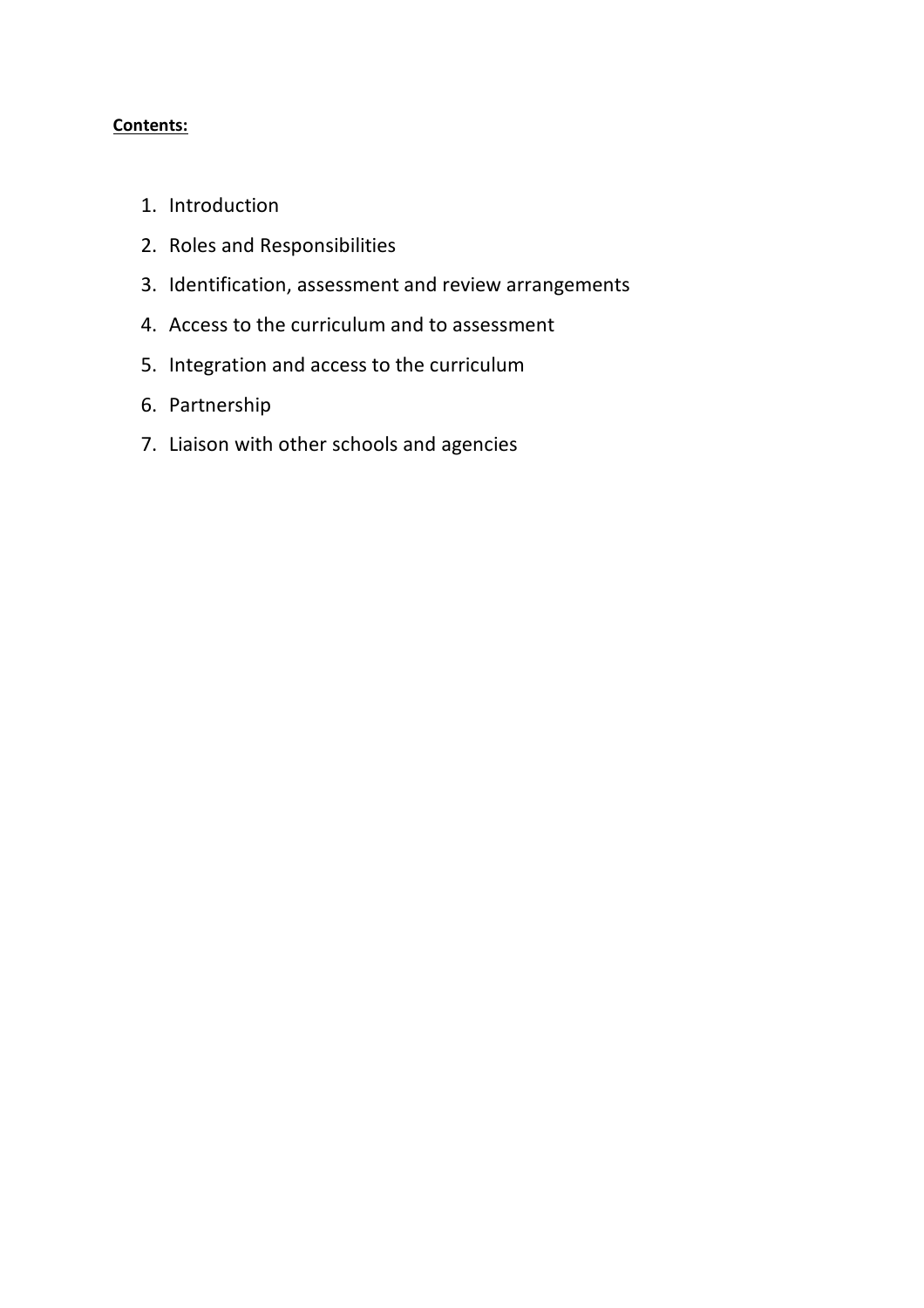## **Contents:**

- 1. Introduction
- 2. Roles and Responsibilities
- 3. Identification, assessment and review arrangements
- 4. Access to the curriculum and to assessment
- 5. Integration and access to the curriculum
- 6. Partnership
- 7. Liaison with other schools and agencies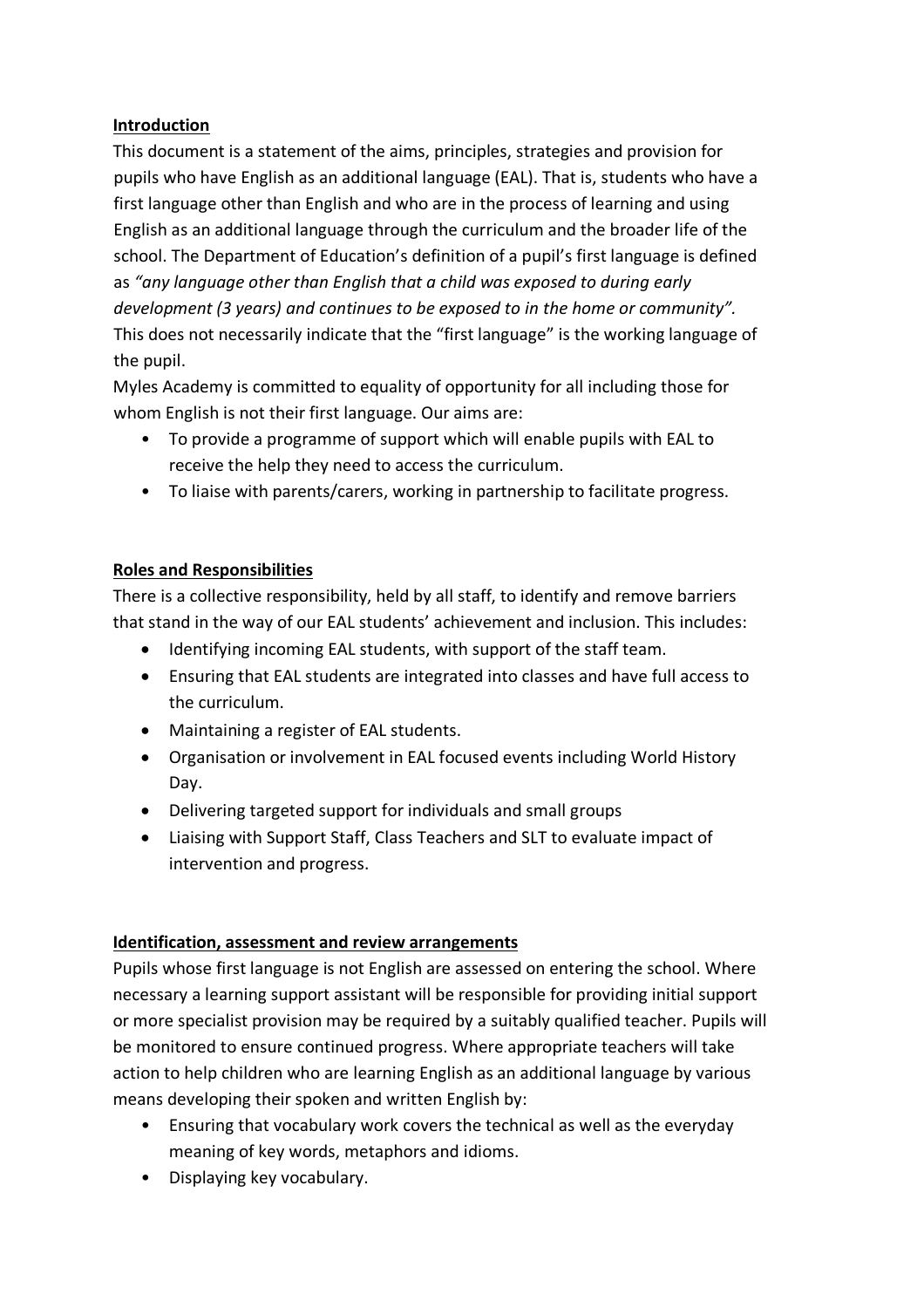## **Introduction**

This document is a statement of the aims, principles, strategies and provision for pupils who have English as an additional language (EAL). That is, students who have a first language other than English and who are in the process of learning and using English as an additional language through the curriculum and the broader life of the school. The Department of Education's definition of a pupil's first language is defined as *"any language other than English that a child was exposed to during early development (3 years) and continues to be exposed to in the home or community".* This does not necessarily indicate that the "first language" is the working language of the pupil.

Myles Academy is committed to equality of opportunity for all including those for whom English is not their first language. Our aims are:

- To provide a programme of support which will enable pupils with EAL to receive the help they need to access the curriculum.
- To liaise with parents/carers, working in partnership to facilitate progress.

# **Roles and Responsibilities**

There is a collective responsibility, held by all staff, to identify and remove barriers that stand in the way of our EAL students' achievement and inclusion. This includes:

- Identifying incoming EAL students, with support of the staff team.
- Ensuring that EAL students are integrated into classes and have full access to the curriculum.
- Maintaining a register of EAL students.
- Organisation or involvement in EAL focused events including World History Day.
- Delivering targeted support for individuals and small groups
- Liaising with Support Staff, Class Teachers and SLT to evaluate impact of intervention and progress.

#### **Identification, assessment and review arrangements**

Pupils whose first language is not English are assessed on entering the school. Where necessary a learning support assistant will be responsible for providing initial support or more specialist provision may be required by a suitably qualified teacher. Pupils will be monitored to ensure continued progress. Where appropriate teachers will take action to help children who are learning English as an additional language by various means developing their spoken and written English by:

- Ensuring that vocabulary work covers the technical as well as the everyday meaning of key words, metaphors and idioms.
- Displaying key vocabulary.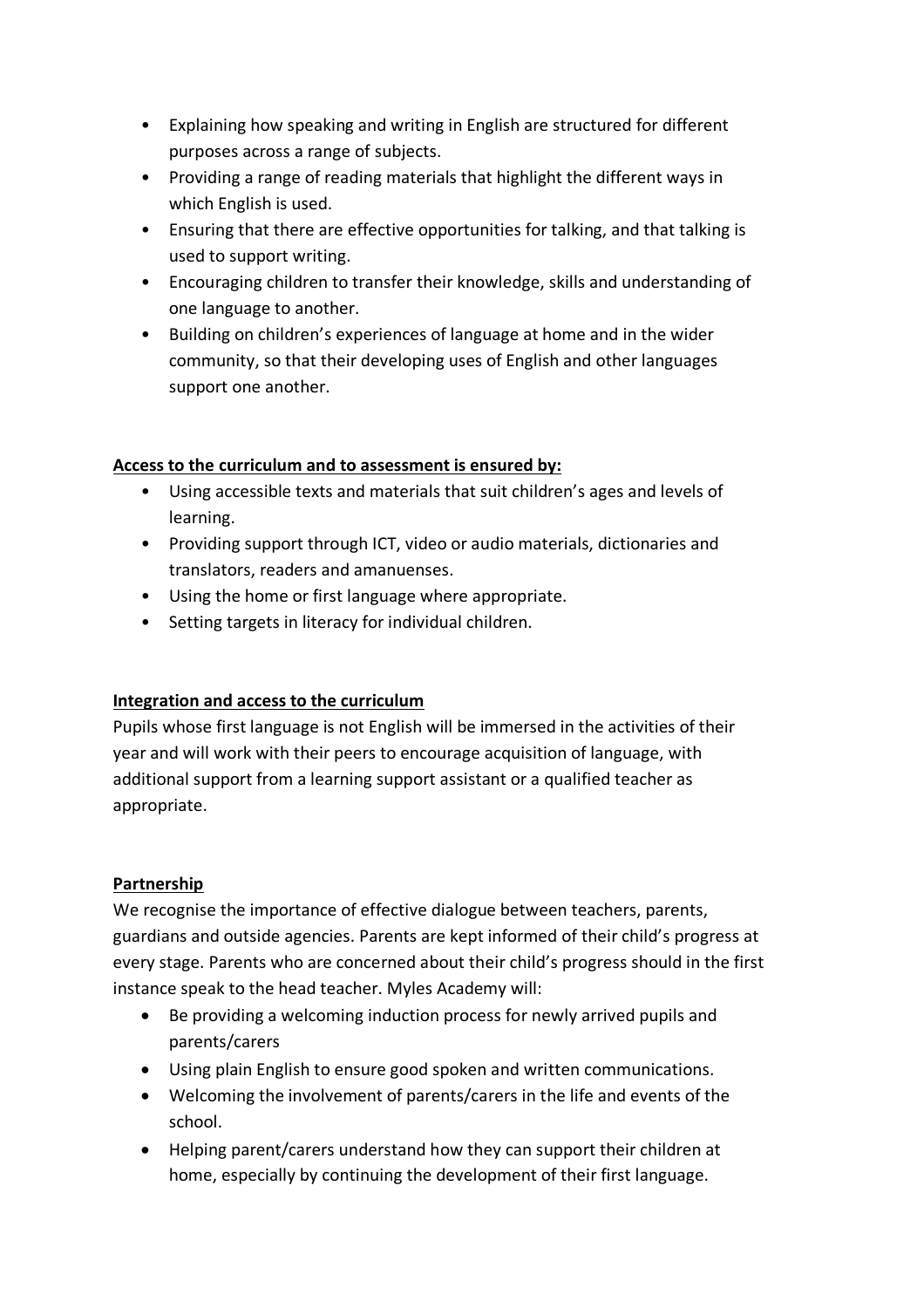- Explaining how speaking and writing in English are structured for different purposes across a range of subjects.
- Providing a range of reading materials that highlight the different ways in which English is used.
- Ensuring that there are effective opportunities for talking, and that talking is used to support writing.
- Encouraging children to transfer their knowledge, skills and understanding of one language to another.
- Building on children's experiences of language at home and in the wider community, so that their developing uses of English and other languages support one another.

## **Access to the curriculum and to assessment is ensured by:**

- Using accessible texts and materials that suit children's ages and levels of learning.
- Providing support through ICT, video or audio materials, dictionaries and translators, readers and amanuenses.
- Using the home or first language where appropriate.
- Setting targets in literacy for individual children.

# **Integration and access to the curriculum**

Pupils whose first language is not English will be immersed in the activities of their year and will work with their peers to encourage acquisition of language, with additional support from a learning support assistant or a qualified teacher as appropriate.

# **Partnership**

We recognise the importance of effective dialogue between teachers, parents, guardians and outside agencies. Parents are kept informed of their child's progress at every stage. Parents who are concerned about their child's progress should in the first instance speak to the head teacher. Myles Academy will:

- Be providing a welcoming induction process for newly arrived pupils and parents/carers
- Using plain English to ensure good spoken and written communications.
- Welcoming the involvement of parents/carers in the life and events of the school.
- Helping parent/carers understand how they can support their children at home, especially by continuing the development of their first language.